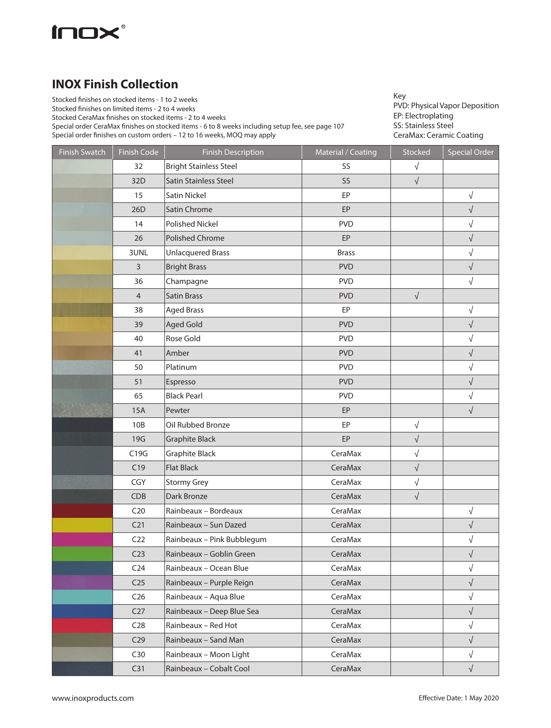

## **INOX Finish Collection**

Stocked finishes on stocked items - 1 to 2 weeks

Stocked finishes on limited items - 2 to 4 weeks

Stocked CeraMax finishes on stocked items - 2 to 4 weeks

Special order CeraMax finishes on stocked items - 6 to 8 weeks including setup fee, see page 107

Special order finishes on custom orders – 12 to 16 weeks, MOQ may apply

Key PVD: Physical Vapor Deposition EP: Electroplating SS: Stainless Steel CeraMax: Ceramic Coating

| <b>Finish Swatch</b> | <b>Finish Code</b> | <b>Finish Description</b>     | Material / Coating | Stocked    | <b>Special Order</b> |
|----------------------|--------------------|-------------------------------|--------------------|------------|----------------------|
|                      | 32                 | <b>Bright Stainless Steel</b> | SS                 | $\sqrt{}$  |                      |
|                      | 32D                | Satin Stainless Steel         | SS                 | $\sqrt{ }$ |                      |
|                      | 15                 | Satin Nickel                  | EP                 |            | $\sqrt{ }$           |
|                      | 26D                | Satin Chrome                  | EP                 |            | $\sqrt{}$            |
|                      | 14                 | Polished Nickel               | <b>PVD</b>         |            | $\sqrt{}$            |
|                      | 26                 | Polished Chrome               | EP                 |            | $\sqrt{}$            |
|                      | 3UNL               | <b>Unlacquered Brass</b>      | <b>Brass</b>       |            | $\sqrt{}$            |
|                      | 3                  | <b>Bright Brass</b>           | <b>PVD</b>         |            | $\sqrt{ }$           |
|                      | 36                 | Champagne                     | <b>PVD</b>         |            | $\sqrt{ }$           |
|                      | $\overline{4}$     | <b>Satin Brass</b>            | <b>PVD</b>         | $\sqrt{}$  |                      |
|                      | 38                 | <b>Aged Brass</b>             | EP                 |            | $\sqrt{}$            |
|                      | 39                 | <b>Aged Gold</b>              | <b>PVD</b>         |            | $\sqrt{}$            |
|                      | 40                 | Rose Gold                     | <b>PVD</b>         |            | $\sqrt{}$            |
|                      | 41                 | Amber                         | <b>PVD</b>         |            | $\sqrt{}$            |
|                      | 50                 | Platinum                      | <b>PVD</b>         |            | $\sqrt{}$            |
|                      | 51                 | Espresso                      | <b>PVD</b>         |            | $\sqrt{}$            |
|                      | 65                 | <b>Black Pearl</b>            | <b>PVD</b>         |            | $\sqrt{}$            |
|                      | <b>15A</b>         | Pewter                        | EP                 |            | $\sqrt{}$            |
|                      | 10B                | Oil Rubbed Bronze             | EP                 | $\sqrt{ }$ |                      |
|                      | 19G                | <b>Graphite Black</b>         | EP                 | $\sqrt{ }$ |                      |
|                      | C19G               | <b>Graphite Black</b>         | CeraMax            | $\sqrt{}$  |                      |
|                      | C19                | <b>Flat Black</b>             | CeraMax            | $\sqrt{ }$ |                      |
|                      | CGY                | <b>Stormy Grey</b>            | CeraMax            | $\sqrt{}$  |                      |
|                      | CDB                | Dark Bronze                   | CeraMax            | $\sqrt{}$  |                      |
|                      | C <sub>20</sub>    | Rainbeaux - Bordeaux          | CeraMax            |            | $\sqrt{}$            |
|                      | C <sub>21</sub>    | Rainbeaux - Sun Dazed         | CeraMax            |            | $\sqrt{}$            |
|                      | C <sub>22</sub>    | Rainbeaux - Pink Bubblegum    | CeraMax            |            | $\sqrt{}$            |
|                      | C <sub>23</sub>    | Rainbeaux - Goblin Green      | CeraMax            |            | $\sqrt{\phantom{a}}$ |
|                      | C <sub>24</sub>    | Rainbeaux - Ocean Blue        | CeraMax            |            | $\sqrt{}$            |
|                      | C <sub>25</sub>    | Rainbeaux - Purple Reign      | CeraMax            |            | $\sqrt{ }$           |
|                      | C <sub>26</sub>    | Rainbeaux - Aqua Blue         | CeraMax            |            | $\sqrt{}$            |
|                      | C27                | Rainbeaux - Deep Blue Sea     | CeraMax            |            | $\sqrt{}$            |
|                      | C <sub>28</sub>    | Rainbeaux - Red Hot           | CeraMax            |            | $\sqrt{}$            |
|                      | C <sub>29</sub>    | Rainbeaux - Sand Man          | CeraMax            |            | $\sqrt{}$            |
|                      | C30                | Rainbeaux - Moon Light        | CeraMax            |            | $\sqrt{}$            |
|                      | C31                | Rainbeaux - Cobalt Cool       | CeraMax            |            | $\sqrt{ }$           |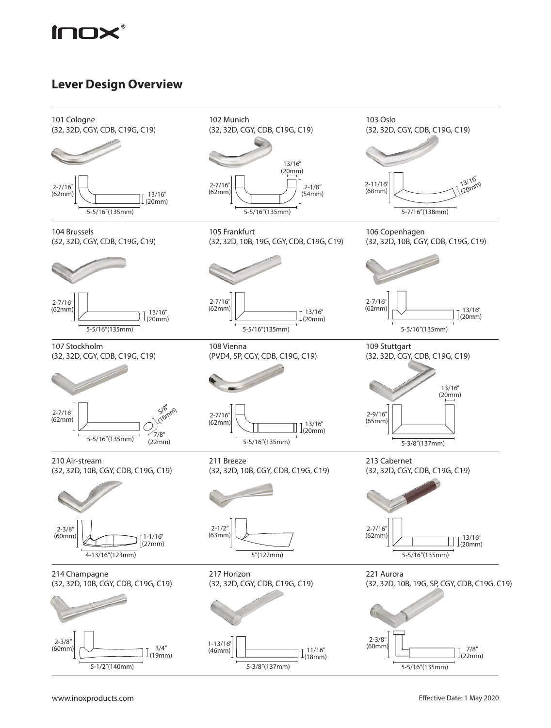

## **Lever Design Overview**

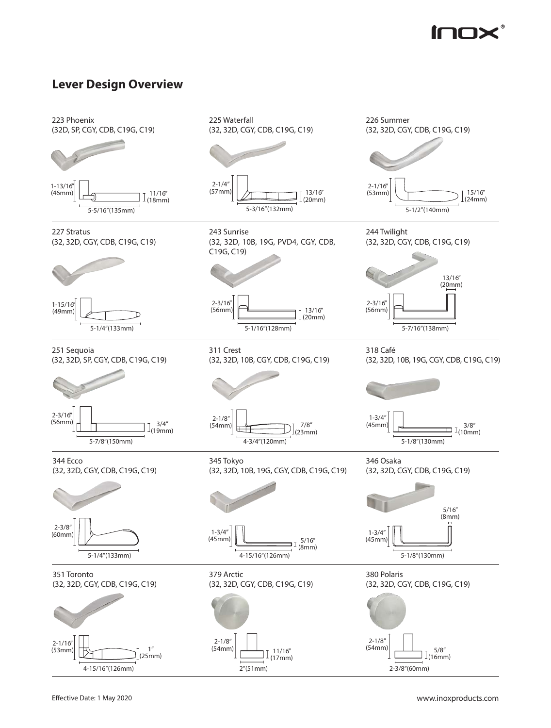

## **Lever Design Overview**

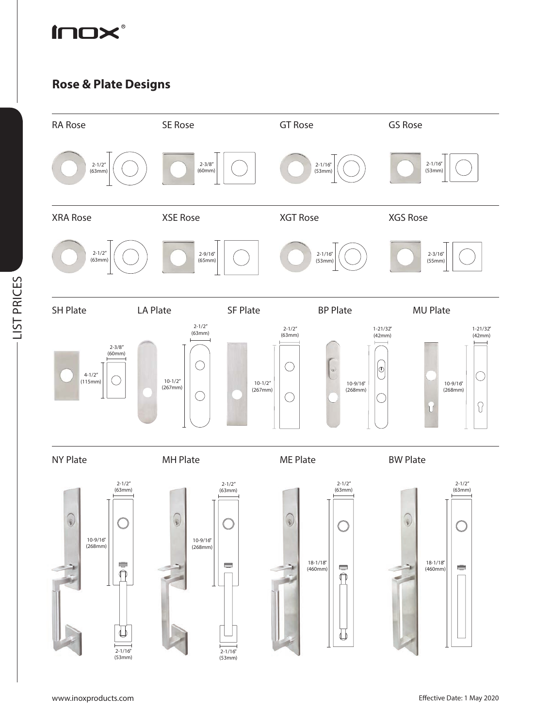

## **Rose & Plate Designs**



-LIST PRICES LIST PRICES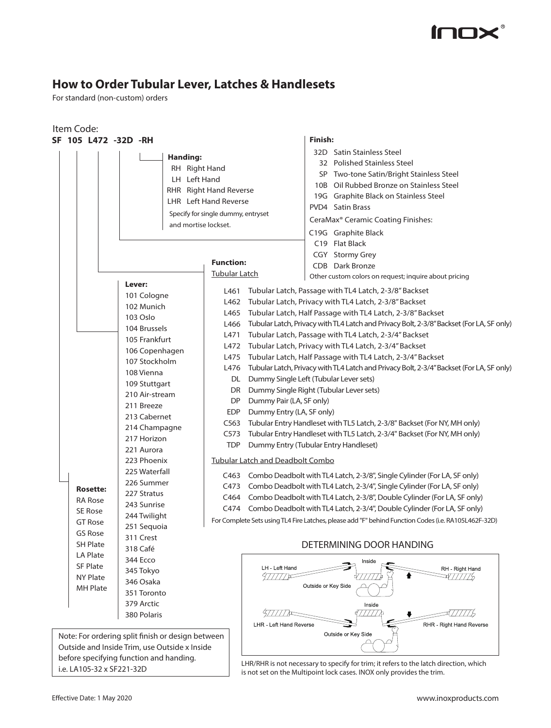

# **How to Order Tubular Lever, Latches & Handlesets**

For standard (non-custom) orders

| Item Code:                                                                                   |                                                                                                                                                                                                                                                                                                                                                                |                                                                                                                                                                                                                                       |                                                                                                                                                                                                                                                                                                                                                                                                                                                                                                                                                                                                                                                                                                                                                                                                                                                                                                                                                                                                                                                                                                                                                                                                                                                                                                                    |
|----------------------------------------------------------------------------------------------|----------------------------------------------------------------------------------------------------------------------------------------------------------------------------------------------------------------------------------------------------------------------------------------------------------------------------------------------------------------|---------------------------------------------------------------------------------------------------------------------------------------------------------------------------------------------------------------------------------------|--------------------------------------------------------------------------------------------------------------------------------------------------------------------------------------------------------------------------------------------------------------------------------------------------------------------------------------------------------------------------------------------------------------------------------------------------------------------------------------------------------------------------------------------------------------------------------------------------------------------------------------------------------------------------------------------------------------------------------------------------------------------------------------------------------------------------------------------------------------------------------------------------------------------------------------------------------------------------------------------------------------------------------------------------------------------------------------------------------------------------------------------------------------------------------------------------------------------------------------------------------------------------------------------------------------------|
| SF 105 L472 -32D -RH                                                                         |                                                                                                                                                                                                                                                                                                                                                                |                                                                                                                                                                                                                                       | Finish:                                                                                                                                                                                                                                                                                                                                                                                                                                                                                                                                                                                                                                                                                                                                                                                                                                                                                                                                                                                                                                                                                                                                                                                                                                                                                                            |
|                                                                                              | Handing:<br>RH Right Hand<br>LH Left Hand<br>and mortise lockset.                                                                                                                                                                                                                                                                                              | RHR Right Hand Reverse<br><b>LHR</b> Left Hand Reverse<br>Specify for single dummy, entryset                                                                                                                                          | 32D Satin Stainless Steel<br>32 Polished Stainless Steel<br>SP Two-tone Satin/Bright Stainless Steel<br>10B Oil Rubbed Bronze on Stainless Steel<br>19G Graphite Black on Stainless Steel<br>PVD4 Satin Brass<br>CeraMax <sup>®</sup> Ceramic Coating Finishes:                                                                                                                                                                                                                                                                                                                                                                                                                                                                                                                                                                                                                                                                                                                                                                                                                                                                                                                                                                                                                                                    |
|                                                                                              | Lever:                                                                                                                                                                                                                                                                                                                                                         | <b>Function:</b><br><b>Tubular Latch</b>                                                                                                                                                                                              | C19G Graphite Black<br>C19 Flat Black<br>CGY Stormy Grey<br>CDB Dark Bronze<br>Other custom colors on request; inquire about pricing                                                                                                                                                                                                                                                                                                                                                                                                                                                                                                                                                                                                                                                                                                                                                                                                                                                                                                                                                                                                                                                                                                                                                                               |
| <b>Rosette:</b><br><b>RA Rose</b><br>SE Rose<br><b>GT Rose</b><br>GS Rose<br><b>SH Plate</b> | 101 Cologne<br>102 Munich<br>103 Oslo<br>104 Brussels<br>105 Frankfurt<br>106 Copenhagen<br>107 Stockholm<br>108 Vienna<br>109 Stuttgart<br>210 Air-stream<br>211 Breeze<br>213 Cabernet<br>214 Champagne<br>217 Horizon<br>221 Aurora<br>223 Phoenix<br>225 Waterfall<br>226 Summer<br>227 Stratus<br>243 Sunrise<br>244 Twilight<br>251 Sequoia<br>311 Crest | L461<br>L462<br>L465<br>L466<br>L471<br>L472<br>L475<br>L476<br>DL<br>DR<br><b>DP</b><br>Dummy Pair (LA, SF only)<br>Dummy Entry (LA, SF only)<br><b>EDP</b><br>C563<br>C573<br><b>TDP</b><br><b>Tubular Latch and Deadbolt Combo</b> | Tubular Latch, Passage with TL4 Latch, 2-3/8" Backset<br>Tubular Latch, Privacy with TL4 Latch, 2-3/8" Backset<br>Tubular Latch, Half Passage with TL4 Latch, 2-3/8" Backset<br>Tubular Latch, Privacy with TL4 Latch and Privacy Bolt, 2-3/8" Backset (For LA, SF only)<br>Tubular Latch, Passage with TL4 Latch, 2-3/4" Backset<br>Tubular Latch, Privacy with TL4 Latch, 2-3/4" Backset<br>Tubular Latch, Half Passage with TL4 Latch, 2-3/4" Backset<br>Tubular Latch, Privacy with TL4 Latch and Privacy Bolt, 2-3/4" Backset (For LA, SF only)<br>Dummy Single Left (Tubular Lever sets)<br>Dummy Single Right (Tubular Lever sets)<br>Tubular Entry Handleset with TL5 Latch, 2-3/8" Backset (For NY, MH only)<br>Tubular Entry Handleset with TL5 Latch, 2-3/4" Backset (For NY, MH only)<br>Dummy Entry (Tubular Entry Handleset)<br>C463 Combo Deadbolt with TL4 Latch, 2-3/8", Single Cylinder (For LA, SF only)<br>C473 Combo Deadbolt with TL4 Latch, 2-3/4", Single Cylinder (For LA, SF only)<br>C464 Combo Deadbolt with TL4 Latch, 2-3/8", Double Cylinder (For LA, SF only)<br>C474 Combo Deadbolt with TL4 Latch, 2-3/4", Double Cylinder (For LA, SF only)<br>For Complete Sets using TL4 Fire Latches, please add "F" behind Function Codes (i.e. RA105L462F-32D)<br>DETERMINING DOOR HANDING |
| <b>LA Plate</b><br><b>SF Plate</b><br>NY Plate<br><b>MH Plate</b>                            | 318 Café<br>344 Ecco<br>345 Tokyo<br>346 Osaka<br>351 Toronto<br>379 Arctic<br>380 Polaris<br>Note: For ordering split finish or design between                                                                                                                                                                                                                | LH - Left Hand<br><i>977777</i> )¤<br>LHR - Left Hand Reverse                                                                                                                                                                         | Inside<br>RH - Right Hand<br>과777775<br>Outside or Key Side<br>Inside<br>RHR - Right Hand Reverse<br>Outside or Key Side                                                                                                                                                                                                                                                                                                                                                                                                                                                                                                                                                                                                                                                                                                                                                                                                                                                                                                                                                                                                                                                                                                                                                                                           |
|                                                                                              | Outside and Inside Trim, use Outside x Inside<br>before specifying function and handing.                                                                                                                                                                                                                                                                       |                                                                                                                                                                                                                                       |                                                                                                                                                                                                                                                                                                                                                                                                                                                                                                                                                                                                                                                                                                                                                                                                                                                                                                                                                                                                                                                                                                                                                                                                                                                                                                                    |

before spectrying function and nationity.<br>i.e. LA105-32 x SF221-32D is not set on the Multipoint lock cases INOX only provides the trim is not set on the Multipoint lock cases. INOX only provides the trim.